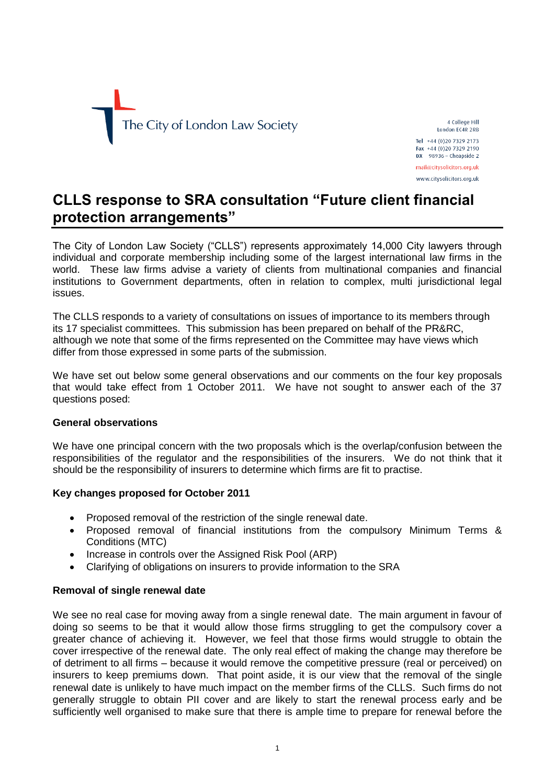

4 College Hill London EC4R 2RB Tel +44 (0) 20 7329 2173 Fax +44 (0)20 7329 2190 DX 98936 - Cheapside 2 mail@citysolicitors.org.uk

www.citysolicitors.org.uk

# **CLLS response to SRA consultation "Future client financial protection arrangements"**

The City of London Law Society ("CLLS") represents approximately 14,000 City lawyers through individual and corporate membership including some of the largest international law firms in the world. These law firms advise a variety of clients from multinational companies and financial institutions to Government departments, often in relation to complex, multi jurisdictional legal issues.

The CLLS responds to a variety of consultations on issues of importance to its members through its 17 specialist committees. This submission has been prepared on behalf of the PR&RC, although we note that some of the firms represented on the Committee may have views which differ from those expressed in some parts of the submission.

We have set out below some general observations and our comments on the four key proposals that would take effect from 1 October 2011. We have not sought to answer each of the 37 questions posed:

# **General observations**

We have one principal concern with the two proposals which is the overlap/confusion between the responsibilities of the regulator and the responsibilities of the insurers. We do not think that it should be the responsibility of insurers to determine which firms are fit to practise.

# **Key changes proposed for October 2011**

- Proposed removal of the restriction of the single renewal date.
- Proposed removal of financial institutions from the compulsory Minimum Terms & Conditions (MTC)
- Increase in controls over the Assigned Risk Pool (ARP)
- Clarifying of obligations on insurers to provide information to the SRA

# **Removal of single renewal date**

We see no real case for moving away from a single renewal date. The main argument in favour of doing so seems to be that it would allow those firms struggling to get the compulsory cover a greater chance of achieving it. However, we feel that those firms would struggle to obtain the cover irrespective of the renewal date. The only real effect of making the change may therefore be of detriment to all firms – because it would remove the competitive pressure (real or perceived) on insurers to keep premiums down. That point aside, it is our view that the removal of the single renewal date is unlikely to have much impact on the member firms of the CLLS. Such firms do not generally struggle to obtain PII cover and are likely to start the renewal process early and be sufficiently well organised to make sure that there is ample time to prepare for renewal before the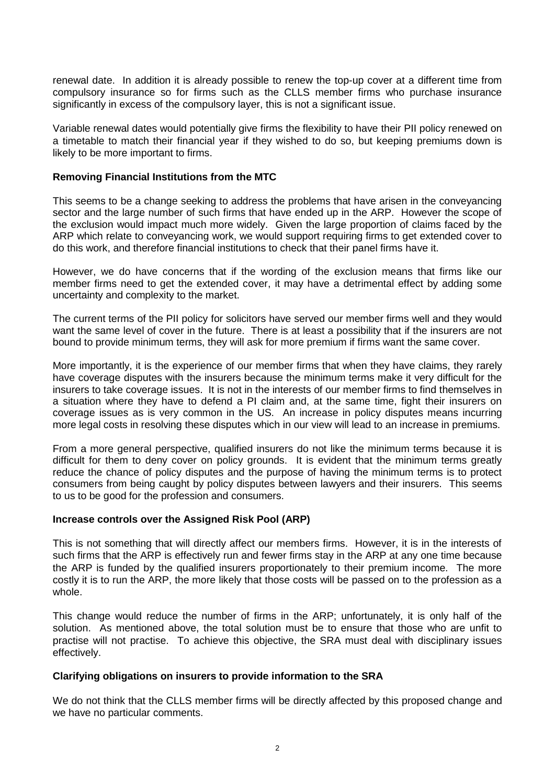renewal date. In addition it is already possible to renew the top-up cover at a different time from compulsory insurance so for firms such as the CLLS member firms who purchase insurance significantly in excess of the compulsory layer, this is not a significant issue.

Variable renewal dates would potentially give firms the flexibility to have their PII policy renewed on a timetable to match their financial year if they wished to do so, but keeping premiums down is likely to be more important to firms.

#### **Removing Financial Institutions from the MTC**

This seems to be a change seeking to address the problems that have arisen in the conveyancing sector and the large number of such firms that have ended up in the ARP. However the scope of the exclusion would impact much more widely. Given the large proportion of claims faced by the ARP which relate to conveyancing work, we would support requiring firms to get extended cover to do this work, and therefore financial institutions to check that their panel firms have it.

However, we do have concerns that if the wording of the exclusion means that firms like our member firms need to get the extended cover, it may have a detrimental effect by adding some uncertainty and complexity to the market.

The current terms of the PII policy for solicitors have served our member firms well and they would want the same level of cover in the future. There is at least a possibility that if the insurers are not bound to provide minimum terms, they will ask for more premium if firms want the same cover.

More importantly, it is the experience of our member firms that when they have claims, they rarely have coverage disputes with the insurers because the minimum terms make it very difficult for the insurers to take coverage issues. It is not in the interests of our member firms to find themselves in a situation where they have to defend a PI claim and, at the same time, fight their insurers on coverage issues as is very common in the US. An increase in policy disputes means incurring more legal costs in resolving these disputes which in our view will lead to an increase in premiums.

From a more general perspective, qualified insurers do not like the minimum terms because it is difficult for them to deny cover on policy grounds. It is evident that the minimum terms greatly reduce the chance of policy disputes and the purpose of having the minimum terms is to protect consumers from being caught by policy disputes between lawyers and their insurers. This seems to us to be good for the profession and consumers.

#### **Increase controls over the Assigned Risk Pool (ARP)**

This is not something that will directly affect our members firms. However, it is in the interests of such firms that the ARP is effectively run and fewer firms stay in the ARP at any one time because the ARP is funded by the qualified insurers proportionately to their premium income. The more costly it is to run the ARP, the more likely that those costs will be passed on to the profession as a whole.

This change would reduce the number of firms in the ARP; unfortunately, it is only half of the solution. As mentioned above, the total solution must be to ensure that those who are unfit to practise will not practise. To achieve this objective, the SRA must deal with disciplinary issues effectively.

#### **Clarifying obligations on insurers to provide information to the SRA**

We do not think that the CLLS member firms will be directly affected by this proposed change and we have no particular comments.